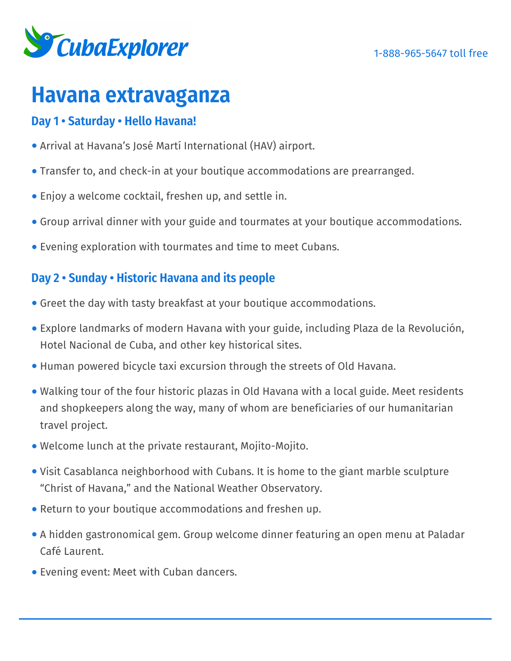

# **Havana extravaganza**

# **Day 1 • Saturday • Hello Havana!**

- Arrival at Havana's José Martí International (HAV) airport.
- Transfer to, and check-in at your boutique accommodations are prearranged.
- Enjoy a welcome cocktail, freshen up, and settle in.
- Group arrival dinner with your guide and tourmates at your boutique accommodations.
- Evening exploration with tourmates and time to meet Cubans.

## **Day 2 • Sunday • Historic Havana and its people**

- Greet the day with tasty breakfast at your boutique accommodations.
- Explore landmarks of modern Havana with your guide, including Plaza de la Revolución, Hotel Nacional de Cuba, and other key historical sites.
- Human powered bicycle taxi excursion through the streets of Old Havana.
- Walking tour of the four historic plazas in Old Havana with a local guide. Meet residents and shopkeepers along the way, many of whom are beneficiaries of our humanitarian travel project.
- Welcome lunch at the private restaurant, Mojito-Mojito.
- Visit Casablanca neighborhood with Cubans. It is home to the giant marble sculpture "Christ of Havana," and the National Weather Observatory.
- Return to your boutique accommodations and freshen up.
- A hidden gastronomical gem. Group welcome dinner featuring an open menu at Paladar Café Laurent.
- Evening event: Meet with Cuban dancers.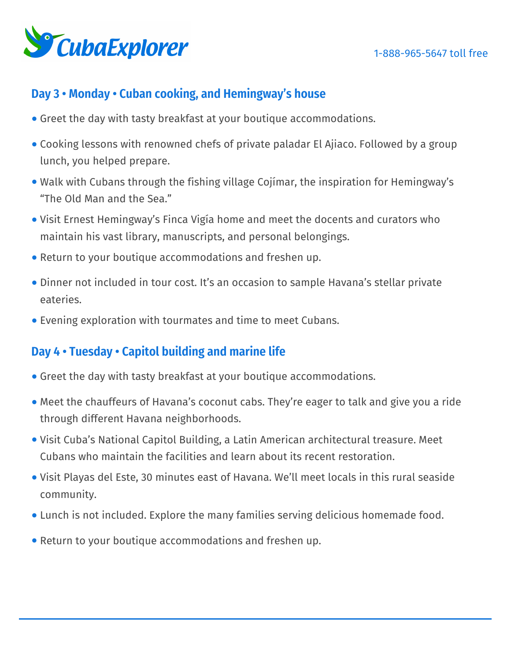

## **Day 3 • Monday • Cuban cooking, and Hemingway's house**

- Greet the day with tasty breakfast at your boutique accommodations.
- Cooking lessons with renowned chefs of private paladar El Ajiaco. Followed by a group lunch, you helped prepare.
- Walk with Cubans through the fishing village Cojímar, the inspiration for Hemingway's "The Old Man and the Sea."
- Visit Ernest Hemingway's Finca Vigía home and meet the docents and curators who maintain his vast library, manuscripts, and personal belongings.
- Return to your boutique accommodations and freshen up.
- Dinner not included in tour cost. It's an occasion to sample Havana's stellar private eateries.
- Evening exploration with tourmates and time to meet Cubans.

## **Day 4 • Tuesday • Capitol building and marine life**

- Greet the day with tasty breakfast at your boutique accommodations.
- Meet the chauffeurs of Havana's coconut cabs. They're eager to talk and give you a ride through different Havana neighborhoods.
- Visit Cuba's National Capitol Building, a Latin American architectural treasure. Meet Cubans who maintain the facilities and learn about its recent restoration.
- Visit Playas del Este, 30 minutes east of Havana. We'll meet locals in this rural seaside community.
- Lunch is not included. Explore the many families serving delicious homemade food.
- Return to your boutique accommodations and freshen up.